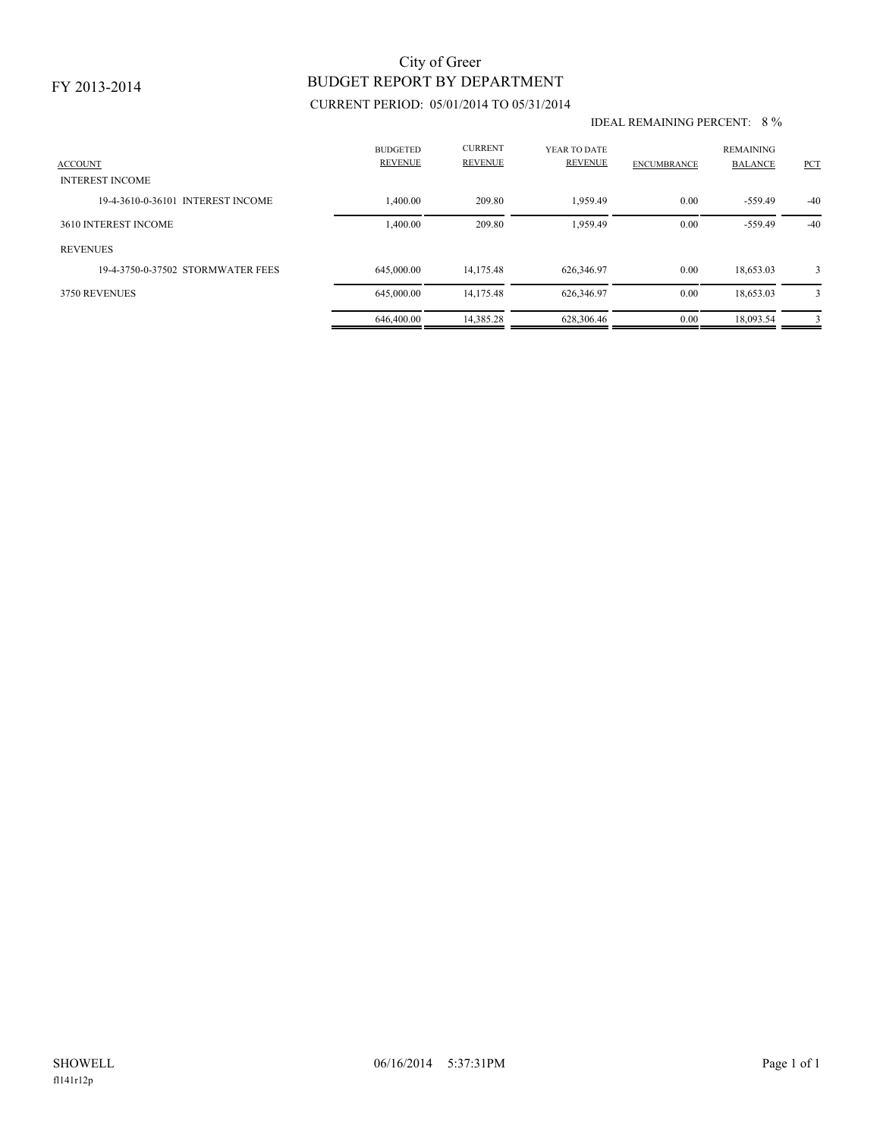### FY 2013-2014

# BUDGET REPORT BY DEPARTMENT City of Greer

## CURRENT PERIOD: 05/01/2014 TO 05/31/2014

#### IDEAL REMAINING PERCENT: 8 %

| <b>ACCOUNT</b><br><b>INTEREST INCOME</b> | <b>BUDGETED</b><br><b>REVENUE</b> | <b>CURRENT</b><br><b>REVENUE</b> | YEAR TO DATE<br><b>REVENUE</b> | <b>ENCUMBRANCE</b> | <b>REMAINING</b><br><b>BALANCE</b> | <b>PCT</b> |
|------------------------------------------|-----------------------------------|----------------------------------|--------------------------------|--------------------|------------------------------------|------------|
| 19-4-3610-0-36101 INTEREST INCOME        | 1,400.00                          | 209.80                           | 1.959.49                       | 0.00               | $-559.49$                          | $-40$      |
| 3610 INTEREST INCOME                     | 1,400.00                          | 209.80                           | 1.959.49                       | 0.00               | $-559.49$                          | $-40$      |
| <b>REVENUES</b>                          |                                   |                                  |                                |                    |                                    |            |
| 19-4-3750-0-37502 STORMWATER FEES        | 645,000,00                        | 14.175.48                        | 626,346.97                     | 0.00               | 18,653.03                          | 3          |
| 3750 REVENUES                            | 645,000.00                        | 14,175.48                        | 626,346.97                     | 0.00               | 18,653.03                          | 3          |
|                                          | 646,400.00                        | 14.385.28                        | 628,306.46                     | 0.00               | 18.093.54                          | 3          |